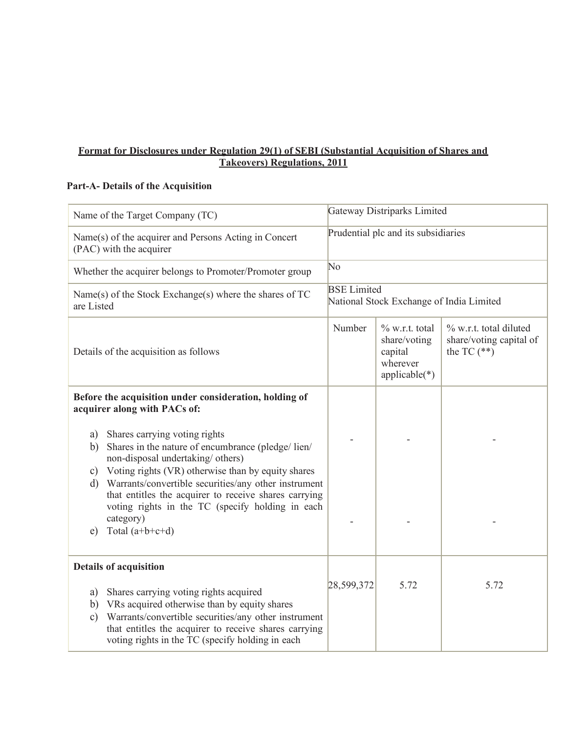## **Format for Disclosures under Regulation 29(1) of SEBI (Substantial Acquisition of Shares and Takeovers) Regulations, 2011**

## **Part-A- Details of the Acquisition**

| Name of the Target Company (TC)                                                                                                                                                                                                                                                                                                                                                                                                                                                                                                | Gateway Distriparks Limited                                    |                                                                             |                                                                    |
|--------------------------------------------------------------------------------------------------------------------------------------------------------------------------------------------------------------------------------------------------------------------------------------------------------------------------------------------------------------------------------------------------------------------------------------------------------------------------------------------------------------------------------|----------------------------------------------------------------|-----------------------------------------------------------------------------|--------------------------------------------------------------------|
| Name(s) of the acquirer and Persons Acting in Concert<br>(PAC) with the acquirer                                                                                                                                                                                                                                                                                                                                                                                                                                               | Prudential plc and its subsidiaries                            |                                                                             |                                                                    |
| Whether the acquirer belongs to Promoter/Promoter group                                                                                                                                                                                                                                                                                                                                                                                                                                                                        | No                                                             |                                                                             |                                                                    |
| Name(s) of the Stock Exchange(s) where the shares of TC<br>are Listed                                                                                                                                                                                                                                                                                                                                                                                                                                                          | <b>BSE</b> Limited<br>National Stock Exchange of India Limited |                                                                             |                                                                    |
| Details of the acquisition as follows                                                                                                                                                                                                                                                                                                                                                                                                                                                                                          | Number                                                         | $\%$ w.r.t. total<br>share/voting<br>capital<br>wherever<br>$applicable(*)$ | % w.r.t. total diluted<br>share/voting capital of<br>the TC $(**)$ |
| Before the acquisition under consideration, holding of<br>acquirer along with PACs of:<br>a) Shares carrying voting rights<br>Shares in the nature of encumbrance (pledge/lien/<br>b)<br>non-disposal undertaking/ others)<br>Voting rights (VR) otherwise than by equity shares<br>$\mathbf{c})$<br>Warrants/convertible securities/any other instrument<br>$\mathbf{d}$<br>that entitles the acquirer to receive shares carrying<br>voting rights in the TC (specify holding in each<br>category)<br>Total $(a+b+c+d)$<br>e) |                                                                |                                                                             |                                                                    |
| <b>Details of acquisition</b><br>Shares carrying voting rights acquired<br>a)<br>VRs acquired otherwise than by equity shares<br>b)<br>Warrants/convertible securities/any other instrument<br>$\mathbf{c})$<br>that entitles the acquirer to receive shares carrying<br>voting rights in the TC (specify holding in each                                                                                                                                                                                                      | 28,599,372                                                     | 5.72                                                                        | 5.72                                                               |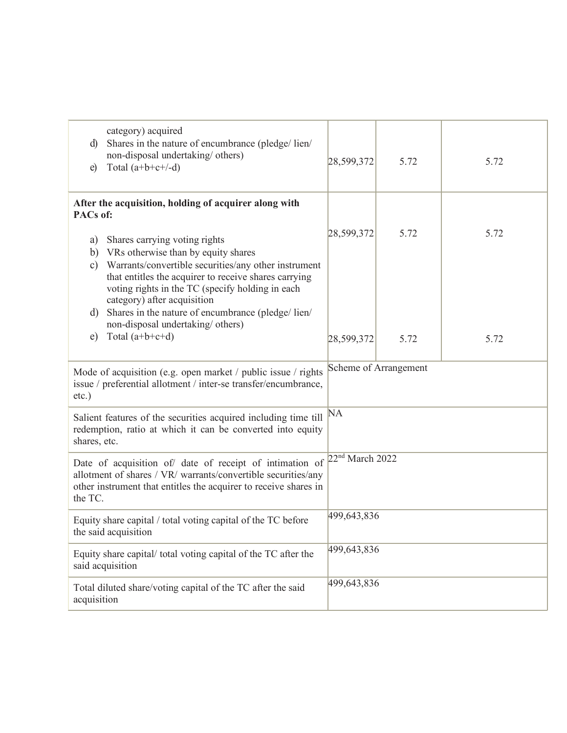| category) acquired<br>Shares in the nature of encumbrance (pledge/lien/<br>d)<br>non-disposal undertaking/ others)<br>Total $(a+b+c+/-d)$<br>e)                                                                                                                                                                                                                                                                                           | 28,599,372                  | 5.72         | 5.72         |  |
|-------------------------------------------------------------------------------------------------------------------------------------------------------------------------------------------------------------------------------------------------------------------------------------------------------------------------------------------------------------------------------------------------------------------------------------------|-----------------------------|--------------|--------------|--|
| After the acquisition, holding of acquirer along with<br>PACs of:                                                                                                                                                                                                                                                                                                                                                                         |                             |              |              |  |
| Shares carrying voting rights<br>a)<br>VRs otherwise than by equity shares<br>b)<br>Warrants/convertible securities/any other instrument<br>$\mathbf{c})$<br>that entitles the acquirer to receive shares carrying<br>voting rights in the TC (specify holding in each<br>category) after acquisition<br>Shares in the nature of encumbrance (pledge/lien/<br>$\mathbf{d}$<br>non-disposal undertaking/others)<br>Total $(a+b+c+d)$<br>e) | 28,599,372<br>28,599,372    | 5.72<br>5.72 | 5.72<br>5.72 |  |
| Mode of acquisition (e.g. open market / public issue / rights<br>issue / preferential allotment / inter-se transfer/encumbrance,<br>$etc.$ )                                                                                                                                                                                                                                                                                              | Scheme of Arrangement       |              |              |  |
| Salient features of the securities acquired including time till<br>redemption, ratio at which it can be converted into equity<br>shares, etc.                                                                                                                                                                                                                                                                                             | <b>NA</b>                   |              |              |  |
| Date of acquisition of/ date of receipt of intimation of<br>allotment of shares / VR/ warrants/convertible securities/any<br>other instrument that entitles the acquirer to receive shares in<br>the TC.                                                                                                                                                                                                                                  | 22 <sup>nd</sup> March 2022 |              |              |  |
| Equity share capital / total voting capital of the TC before<br>the said acquisition                                                                                                                                                                                                                                                                                                                                                      | 499,643,836                 |              |              |  |
| Equity share capital/total voting capital of the TC after the<br>said acquisition                                                                                                                                                                                                                                                                                                                                                         | 499,643,836                 |              |              |  |
| Total diluted share/voting capital of the TC after the said<br>acquisition                                                                                                                                                                                                                                                                                                                                                                | 499,643,836                 |              |              |  |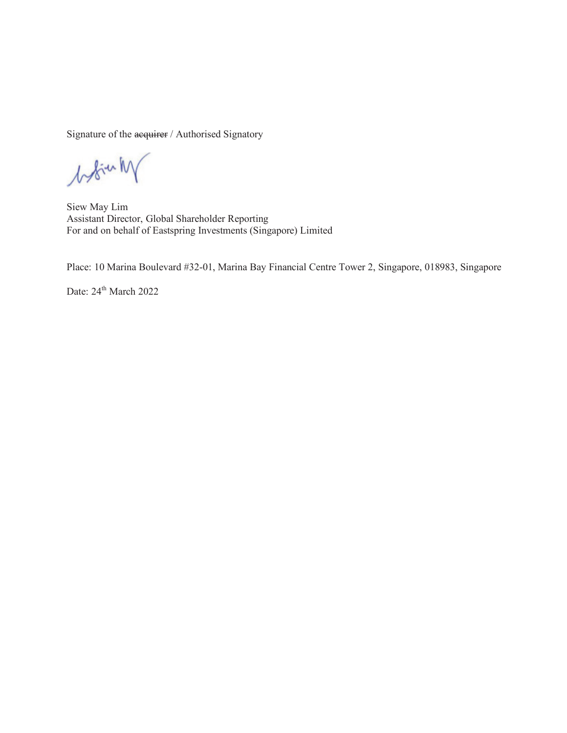Signature of the acquirer / Authorised Signatory

booking

Siew May Lim Assistant Director, Global Shareholder Reporting For and on behalf of Eastspring Investments (Singapore) Limited

Place: 10 Marina Boulevard #32-01, Marina Bay Financial Centre Tower 2, Singapore, 018983, Singapore

Date:  $24^{\text{th}}$  March 2022